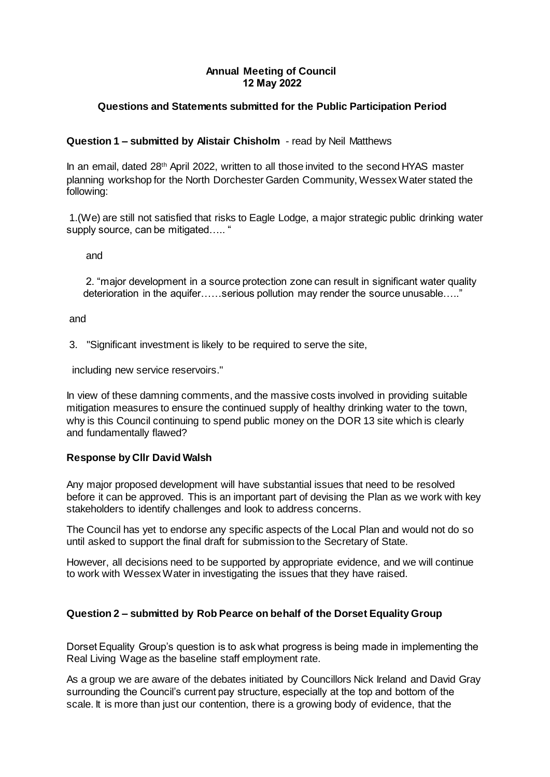## **Annual Meeting of Council 12 May 2022**

# **Questions and Statements submitted for the Public Participation Period**

## **Question 1 – submitted by Alistair Chisholm** - read by Neil Matthews

In an email, dated 28th April 2022, written to all those invited to the second HYAS master planning workshop for the North Dorchester Garden Community, Wessex Water stated the following:

1.(We) are still not satisfied that risks to Eagle Lodge, a major strategic public drinking water supply source, can be mitigated..... "

and

2. "major development in a source protection zone can result in significant water quality deterioration in the aquifer……serious pollution may render the source unusable….."

and

3. "Significant investment is likely to be required to serve the site,

including new service reservoirs."

In view of these damning comments, and the massive costs involved in providing suitable mitigation measures to ensure the continued supply of healthy drinking water to the town, why is this Council continuing to spend public money on the DOR 13 site which is clearly and fundamentally flawed?

#### **Response by Cllr David Walsh**

Any major proposed development will have substantial issues that need to be resolved before it can be approved. This is an important part of devising the Plan as we work with key stakeholders to identify challenges and look to address concerns.

The Council has yet to endorse any specific aspects of the Local Plan and would not do so until asked to support the final draft for submission to the Secretary of State.

However, all decisions need to be supported by appropriate evidence, and we will continue to work with Wessex Water in investigating the issues that they have raised.

## **Question 2 – submitted by Rob Pearce on behalf of the Dorset Equality Group**

Dorset Equality Group's question is to ask what progress is being made in implementing the Real Living Wage as the baseline staff employment rate.

As a group we are aware of the debates initiated by Councillors Nick Ireland and David Gray surrounding the Council's current pay structure, especially at the top and bottom of the scale. It is more than just our contention, there is a growing body of evidence, that the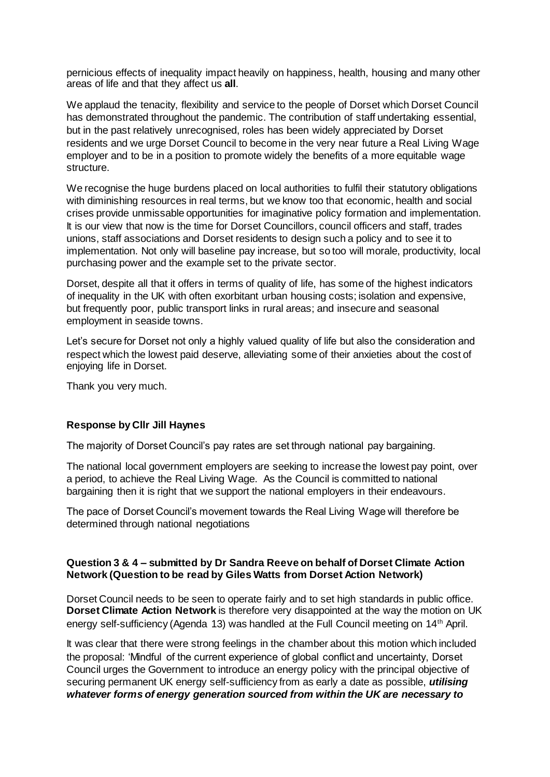pernicious effects of inequality impact heavily on happiness, health, housing and many other areas of life and that they affect us **all**.

We applaud the tenacity, flexibility and service to the people of Dorset which Dorset Council has demonstrated throughout the pandemic. The contribution of staff undertaking essential, but in the past relatively unrecognised, roles has been widely appreciated by Dorset residents and we urge Dorset Council to become in the very near future a Real Living Wage employer and to be in a position to promote widely the benefits of a more equitable wage structure.

We recognise the huge burdens placed on local authorities to fulfil their statutory obligations with diminishing resources in real terms, but we know too that economic, health and social crises provide unmissable opportunities for imaginative policy formation and implementation. It is our view that now is the time for Dorset Councillors, council officers and staff, trades unions, staff associations and Dorset residents to design such a policy and to see it to implementation. Not only will baseline pay increase, but so too will morale, productivity, local purchasing power and the example set to the private sector.

Dorset, despite all that it offers in terms of quality of life, has some of the highest indicators of inequality in the UK with often exorbitant urban housing costs; isolation and expensive, but frequently poor, public transport links in rural areas; and insecure and seasonal employment in seaside towns.

Let's secure for Dorset not only a highly valued quality of life but also the consideration and respect which the lowest paid deserve, alleviating some of their anxieties about the cost of enjoying life in Dorset.

Thank you very much.

#### **Response by Cllr Jill Haynes**

The majority of Dorset Council's pay rates are set through national pay bargaining.

The national local government employers are seeking to increase the lowest pay point, over a period, to achieve the Real Living Wage. As the Council is committed to national bargaining then it is right that we support the national employers in their endeavours.

The pace of Dorset Council's movement towards the Real Living Wage will therefore be determined through national negotiations

#### **Question 3 & 4 – submitted by Dr Sandra Reeve on behalf of Dorset Climate Action Network (Question to be read by Giles Watts from Dorset Action Network)**

Dorset Council needs to be seen to operate fairly and to set high standards in public office. **Dorset Climate Action Network** is therefore very disappointed at the way the motion on UK energy self-sufficiency (Agenda 13) was handled at the Full Council meeting on 14th April.

It was clear that there were strong feelings in the chamber about this motion which included the proposal: 'Mindful of the current experience of global conflict and uncertainty, Dorset Council urges the Government to introduce an energy policy with the principal objective of securing permanent UK energy self-sufficiency from as early a date as possible, *utilising whatever forms of energy generation sourced from within the UK are necessary to*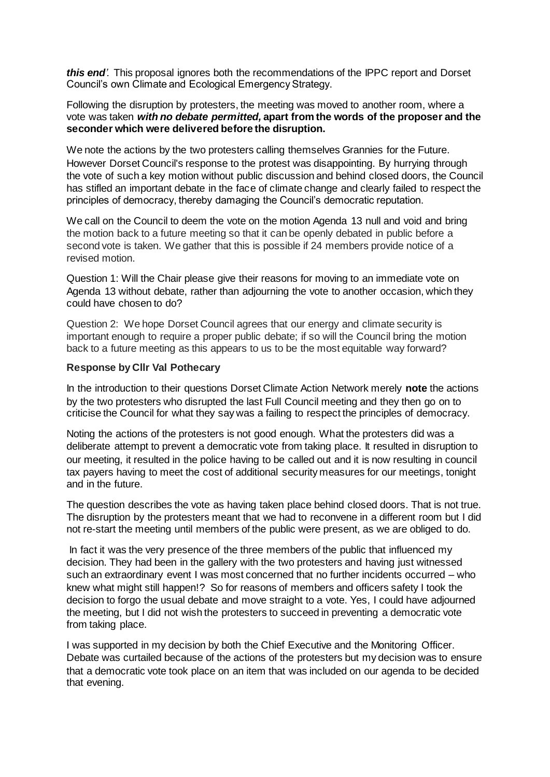*this end'.* This proposal ignores both the recommendations of the IPPC report and Dorset Council's own Climate and Ecological Emergency Strategy.

Following the disruption by protesters, the meeting was moved to another room, where a vote was taken *with no debate permitted,* **apart from the words of the proposer and the seconder which were delivered before the disruption.** 

We note the actions by the two protesters calling themselves Grannies for the Future. However Dorset Council's response to the protest was disappointing. By hurrying through the vote of such a key motion without public discussion and behind closed doors, the Council has stifled an important debate in the face of climate change and clearly failed to respect the principles of democracy, thereby damaging the Council's democratic reputation.

We call on the Council to deem the vote on the motion Agenda 13 null and void and bring the motion back to a future meeting so that it can be openly debated in public before a second vote is taken. We gather that this is possible if 24 members provide notice of a revised motion.

Question 1: Will the Chair please give their reasons for moving to an immediate vote on Agenda 13 without debate, rather than adjourning the vote to another occasion, which they could have chosen to do?

Question 2:We hope Dorset Council agrees that our energy and climate security is important enough to require a proper public debate; if so will the Council bring the motion back to a future meeting as this appears to us to be the most equitable way forward?

#### **Response by Cllr Val Pothecary**

In the introduction to their questions Dorset Climate Action Network merely **note** the actions by the two protesters who disrupted the last Full Council meeting and they then go on to criticise the Council for what they say was a failing to respect the principles of democracy.

Noting the actions of the protesters is not good enough. What the protesters did was a deliberate attempt to prevent a democratic vote from taking place. It resulted in disruption to our meeting, it resulted in the police having to be called out and it is now resulting in council tax payers having to meet the cost of additional security measures for our meetings, tonight and in the future.

The question describes the vote as having taken place behind closed doors. That is not true. The disruption by the protesters meant that we had to reconvene in a different room but I did not re-start the meeting until members of the public were present, as we are obliged to do.

In fact it was the very presence of the three members of the public that influenced my decision. They had been in the gallery with the two protesters and having just witnessed such an extraordinary event I was most concerned that no further incidents occurred – who knew what might still happen!? So for reasons of members and officers safety I took the decision to forgo the usual debate and move straight to a vote. Yes, I could have adjourned the meeting, but I did not wish the protesters to succeed in preventing a democratic vote from taking place.

I was supported in my decision by both the Chief Executive and the Monitoring Officer. Debate was curtailed because of the actions of the protesters but my decision was to ensure that a democratic vote took place on an item that was included on our agenda to be decided that evening.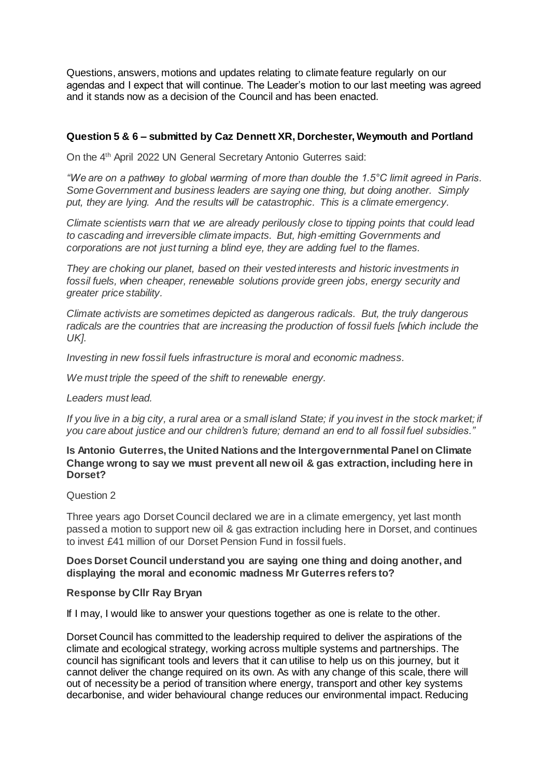Questions, answers, motions and updates relating to climate feature regularly on our agendas and I expect that will continue. The Leader's motion to our last meeting was agreed and it stands now as a decision of the Council and has been enacted.

## **Question 5 & 6 – submitted by Caz Dennett XR, Dorchester, Weymouth and Portland**

On the 4 th April 2022 UN General Secretary Antonio Guterres said:

*"We are on a pathway to global warming of more than double the 1.5°C limit agreed in Paris. Some Government and business leaders are saying one thing, but doing another. Simply put, they are lying. And the results will be catastrophic. This is a climate emergency.*

*Climate scientists warn that we are already perilously close to tipping points that could lead to cascading and irreversible climate impacts. But, high*‑*emitting Governments and corporations are not just turning a blind eye, they are adding fuel to the flames.*

*They are choking our planet, based on their vested interests and historic investments in fossil fuels, when cheaper, renewable solutions provide green jobs, energy security and greater price stability.*

*Climate activists are sometimes depicted as dangerous radicals. But, the truly dangerous radicals are the countries that are increasing the production of fossil fuels [which include the UK].*

*Investing in new fossil fuels infrastructure is moral and economic madness.* 

*We must triple the speed of the shift to renewable energy.* 

*Leaders must lead.* 

*If you live in a big city, a rural area or a small island State; if you invest in the stock market; if you care about justice and our children's future; demand an end to all fossil fuel subsidies."*

#### **Is Antonio Guterres, the United Nations and the Intergovernmental Panel on Climate Change wrong to say we must prevent all new oil & gas extraction, including here in Dorset?**

#### Question 2

Three years ago Dorset Council declared we are in a climate emergency, yet last month passed a motion to support new oil & gas extraction including here in Dorset, and continues to invest £41 million of our Dorset Pension Fund in fossil fuels.

## **Does Dorset Council understand you are saying one thing and doing another, and displaying the moral and economic madness Mr Guterres refers to?**

## **Response by Cllr Ray Bryan**

If I may, I would like to answer your questions together as one is relate to the other.

Dorset Council has committed to the leadership required to deliver the aspirations of the climate and ecological strategy, working across multiple systems and partnerships. The council has significant tools and levers that it can utilise to help us on this journey, but it cannot deliver the change required on its own. As with any change of this scale, there will out of necessity be a period of transition where energy, transport and other key systems decarbonise, and wider behavioural change reduces our environmental impact. Reducing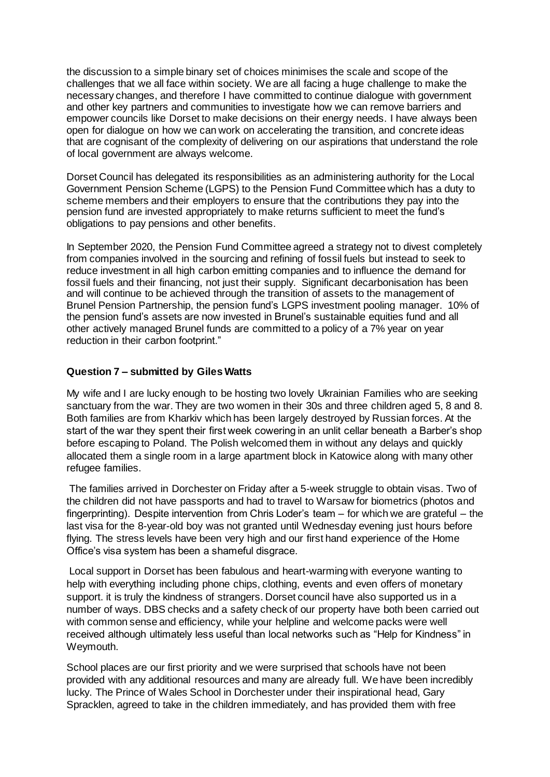the discussion to a simple binary set of choices minimises the scale and scope of the challenges that we all face within society. We are all facing a huge challenge to make the necessary changes, and therefore I have committed to continue dialogue with government and other key partners and communities to investigate how we can remove barriers and empower councils like Dorset to make decisions on their energy needs. I have always been open for dialogue on how we can work on accelerating the transition, and concrete ideas that are cognisant of the complexity of delivering on our aspirations that understand the role of local government are always welcome.

Dorset Council has delegated its responsibilities as an administering authority for the Local Government Pension Scheme (LGPS) to the Pension Fund Committee which has a duty to scheme members and their employers to ensure that the contributions they pay into the pension fund are invested appropriately to make returns sufficient to meet the fund's obligations to pay pensions and other benefits.

In September 2020, the Pension Fund Committee agreed a strategy not to divest completely from companies involved in the sourcing and refining of fossil fuels but instead to seek to reduce investment in all high carbon emitting companies and to influence the demand for fossil fuels and their financing, not just their supply. Significant decarbonisation has been and will continue to be achieved through the transition of assets to the management of Brunel Pension Partnership, the pension fund's LGPS investment pooling manager. 10% of the pension fund's assets are now invested in Brunel's sustainable equities fund and all other actively managed Brunel funds are committed to a policy of a 7% year on year reduction in their carbon footprint."

## **Question 7 – submitted by Giles Watts**

My wife and I are lucky enough to be hosting two lovely Ukrainian Families who are seeking sanctuary from the war. They are two women in their 30s and three children aged 5, 8 and 8. Both families are from Kharkiv which has been largely destroyed by Russian forces. At the start of the war they spent their first week cowering in an unlit cellar beneath a Barber's shop before escaping to Poland. The Polish welcomed them in without any delays and quickly allocated them a single room in a large apartment block in Katowice along with many other refugee families.

The families arrived in Dorchester on Friday after a 5-week struggle to obtain visas. Two of the children did not have passports and had to travel to Warsaw for biometrics (photos and fingerprinting). Despite intervention from Chris Loder's team – for which we are grateful – the last visa for the 8-year-old boy was not granted until Wednesday evening just hours before flying. The stress levels have been very high and our first hand experience of the Home Office's visa system has been a shameful disgrace.

Local support in Dorset has been fabulous and heart-warming with everyone wanting to help with everything including phone chips, clothing, events and even offers of monetary support. it is truly the kindness of strangers. Dorset council have also supported us in a number of ways. DBS checks and a safety check of our property have both been carried out with common sense and efficiency, while your helpline and welcome packs were well received although ultimately less useful than local networks such as "Help for Kindness" in Weymouth.

School places are our first priority and we were surprised that schools have not been provided with any additional resources and many are already full. We have been incredibly lucky. The Prince of Wales School in Dorchester under their inspirational head, Gary Spracklen, agreed to take in the children immediately, and has provided them with free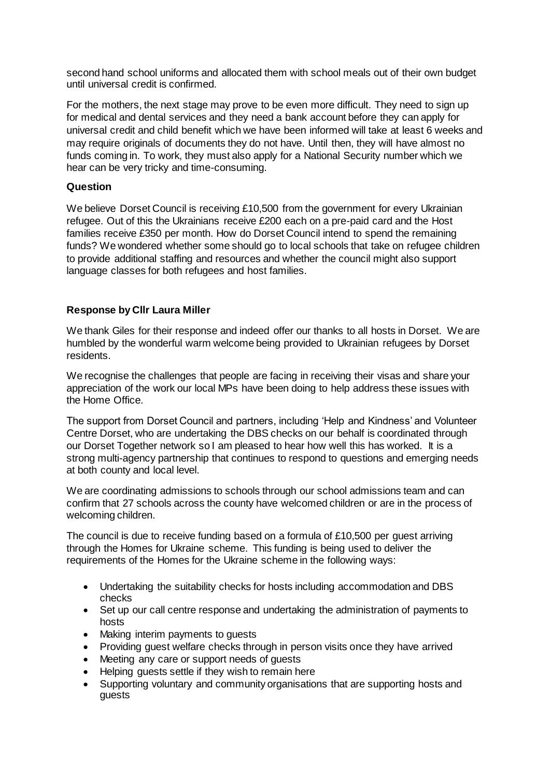second hand school uniforms and allocated them with school meals out of their own budget until universal credit is confirmed.

For the mothers, the next stage may prove to be even more difficult. They need to sign up for medical and dental services and they need a bank account before they can apply for universal credit and child benefit which we have been informed will take at least 6 weeks and may require originals of documents they do not have. Until then, they will have almost no funds coming in. To work, they must also apply for a National Security number which we hear can be very tricky and time-consuming.

## **Question**

We believe Dorset Council is receiving £10,500 from the government for every Ukrainian refugee. Out of this the Ukrainians receive £200 each on a pre-paid card and the Host families receive £350 per month. How do Dorset Council intend to spend the remaining funds? We wondered whether some should go to local schools that take on refugee children to provide additional staffing and resources and whether the council might also support language classes for both refugees and host families.

# **Response by Cllr Laura Miller**

We thank Giles for their response and indeed offer our thanks to all hosts in Dorset. We are humbled by the wonderful warm welcome being provided to Ukrainian refugees by Dorset residents.

We recognise the challenges that people are facing in receiving their visas and share your appreciation of the work our local MPs have been doing to help address these issues with the Home Office.

The support from Dorset Council and partners, including 'Help and Kindness' and Volunteer Centre Dorset, who are undertaking the DBS checks on our behalf is coordinated through our Dorset Together network so I am pleased to hear how well this has worked. It is a strong multi-agency partnership that continues to respond to questions and emerging needs at both county and local level.

We are coordinating admissions to schools through our school admissions team and can confirm that 27 schools across the county have welcomed children or are in the process of welcoming children.

The council is due to receive funding based on a formula of £10,500 per guest arriving through the Homes for Ukraine scheme. This funding is being used to deliver the requirements of the Homes for the Ukraine scheme in the following ways:

- Undertaking the suitability checks for hosts including accommodation and DBS checks
- Set up our call centre response and undertaking the administration of payments to hosts
- Making interim payments to quests
- Providing quest welfare checks through in person visits once they have arrived
- Meeting any care or support needs of guests
- Helping guests settle if they wish to remain here
- Supporting voluntary and community organisations that are supporting hosts and guests